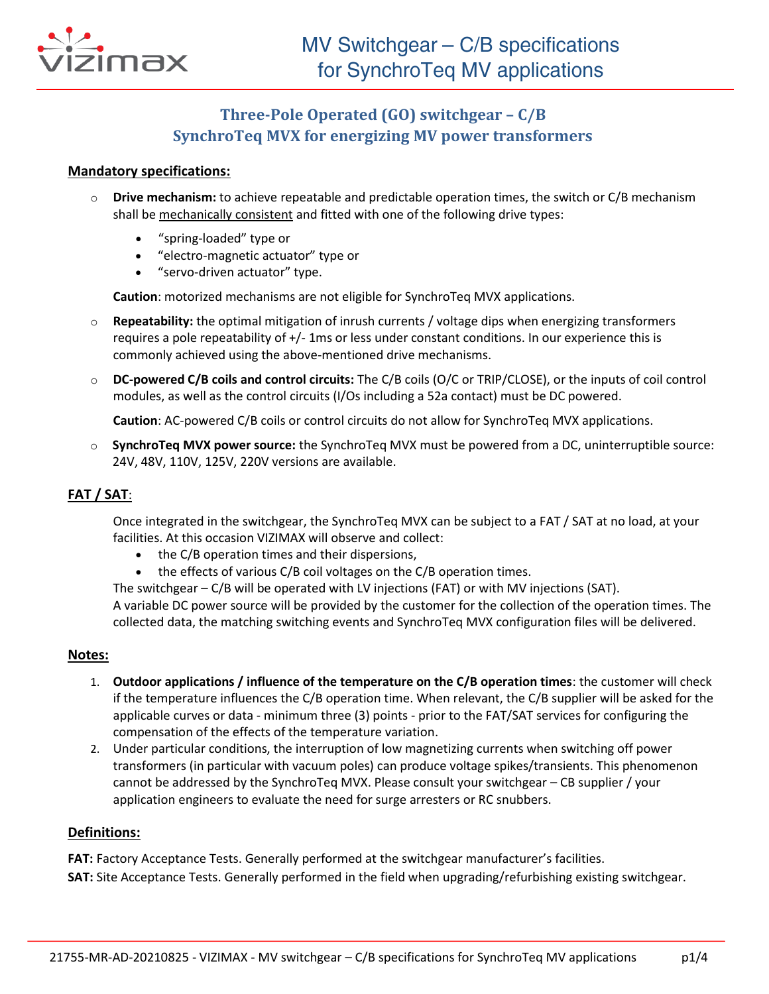

# **Three-Pole Operated (GO) switchgear – C/B SynchroTeq MVX for energizing MV power transformers**

### **Mandatory specifications:**

- o **Drive mechanism:** to achieve repeatable and predictable operation times, the switch or C/B mechanism shall be mechanically consistent and fitted with one of the following drive types:
	- "spring-loaded" type or
	- "electro-magnetic actuator" type or
	- "servo-driven actuator" type.

**Caution**: motorized mechanisms are not eligible for SynchroTeq MVX applications.

- o **Repeatability:** the optimal mitigation of inrush currents / voltage dips when energizing transformers requires a pole repeatability of +/- 1ms or less under constant conditions. In our experience this is commonly achieved using the above-mentioned drive mechanisms.
- o **DC-powered C/B coils and control circuits:** The C/B coils (O/C or TRIP/CLOSE), or the inputs of coil control modules, as well as the control circuits (I/Os including a 52a contact) must be DC powered.

**Caution**: AC-powered C/B coils or control circuits do not allow for SynchroTeq MVX applications.

o **SynchroTeq MVX power source:** the SynchroTeq MVX must be powered from a DC, uninterruptible source: 24V, 48V, 110V, 125V, 220V versions are available.

# **FAT / SAT**:

Once integrated in the switchgear, the SynchroTeq MVX can be subject to a FAT / SAT at no load, at your facilities. At this occasion VIZIMAX will observe and collect:

- the C/B operation times and their dispersions,
- the effects of various C/B coil voltages on the C/B operation times.

The switchgear – C/B will be operated with LV injections (FAT) or with MV injections (SAT). A variable DC power source will be provided by the customer for the collection of the operation times. The collected data, the matching switching events and SynchroTeq MVX configuration files will be delivered.

### **Notes:**

- 1. **Outdoor applications / influence of the temperature on the C/B operation times**: the customer will check if the temperature influences the C/B operation time. When relevant, the C/B supplier will be asked for the applicable curves or data - minimum three (3) points - prior to the FAT/SAT services for configuring the compensation of the effects of the temperature variation.
- 2. Under particular conditions, the interruption of low magnetizing currents when switching off power transformers (in particular with vacuum poles) can produce voltage spikes/transients. This phenomenon cannot be addressed by the SynchroTeq MVX. Please consult your switchgear – CB supplier / your application engineers to evaluate the need for surge arresters or RC snubbers.

### **Definitions:**

**FAT:** Factory Acceptance Tests. Generally performed at the switchgear manufacturer's facilities. **SAT:** Site Acceptance Tests. Generally performed in the field when upgrading/refurbishing existing switchgear.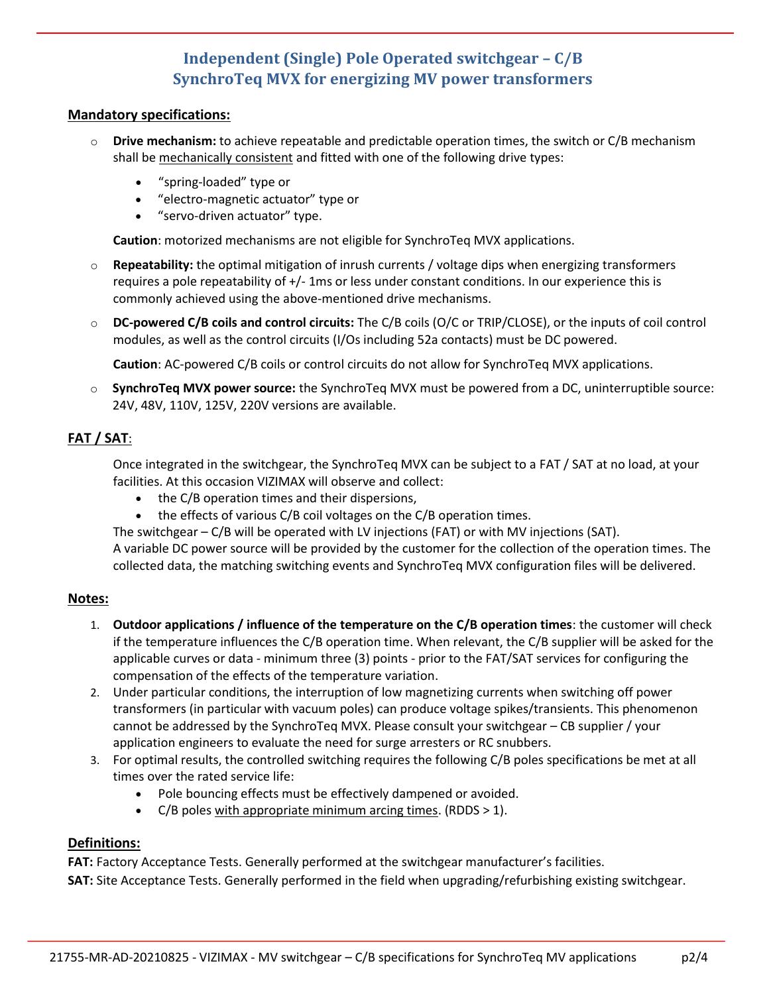# **Independent (Single) Pole Operated switchgear – C/B SynchroTeq MVX for energizing MV power transformers**

### **Mandatory specifications:**

- o **Drive mechanism:** to achieve repeatable and predictable operation times, the switch or C/B mechanism shall be mechanically consistent and fitted with one of the following drive types:
	- "spring-loaded" type or
	- "electro-magnetic actuator" type or
	- "servo-driven actuator" type.

**Caution**: motorized mechanisms are not eligible for SynchroTeq MVX applications.

- o **Repeatability:** the optimal mitigation of inrush currents / voltage dips when energizing transformers requires a pole repeatability of +/- 1ms or less under constant conditions. In our experience this is commonly achieved using the above-mentioned drive mechanisms.
- o **DC-powered C/B coils and control circuits:** The C/B coils (O/C or TRIP/CLOSE), or the inputs of coil control modules, as well as the control circuits (I/Os including 52a contacts) must be DC powered.

**Caution**: AC-powered C/B coils or control circuits do not allow for SynchroTeq MVX applications.

o **SynchroTeq MVX power source:** the SynchroTeq MVX must be powered from a DC, uninterruptible source: 24V, 48V, 110V, 125V, 220V versions are available.

# **FAT / SAT**:

Once integrated in the switchgear, the SynchroTeq MVX can be subject to a FAT / SAT at no load, at your facilities. At this occasion VIZIMAX will observe and collect:

- the C/B operation times and their dispersions,
- the effects of various C/B coil voltages on the C/B operation times.

The switchgear – C/B will be operated with LV injections (FAT) or with MV injections (SAT). A variable DC power source will be provided by the customer for the collection of the operation times. The collected data, the matching switching events and SynchroTeq MVX configuration files will be delivered.

# **Notes:**

- 1. **Outdoor applications / influence of the temperature on the C/B operation times**: the customer will check if the temperature influences the C/B operation time. When relevant, the C/B supplier will be asked for the applicable curves or data - minimum three (3) points - prior to the FAT/SAT services for configuring the compensation of the effects of the temperature variation.
- 2. Under particular conditions, the interruption of low magnetizing currents when switching off power transformers (in particular with vacuum poles) can produce voltage spikes/transients. This phenomenon cannot be addressed by the SynchroTeq MVX. Please consult your switchgear – CB supplier / your application engineers to evaluate the need for surge arresters or RC snubbers.
- 3. For optimal results, the controlled switching requires the following C/B poles specifications be met at all times over the rated service life:
	- Pole bouncing effects must be effectively dampened or avoided.
	- C/B poles with appropriate minimum arcing times. (RDDS  $> 1$ ).

# **Definitions:**

**FAT:** Factory Acceptance Tests. Generally performed at the switchgear manufacturer's facilities.

**SAT:** Site Acceptance Tests. Generally performed in the field when upgrading/refurbishing existing switchgear.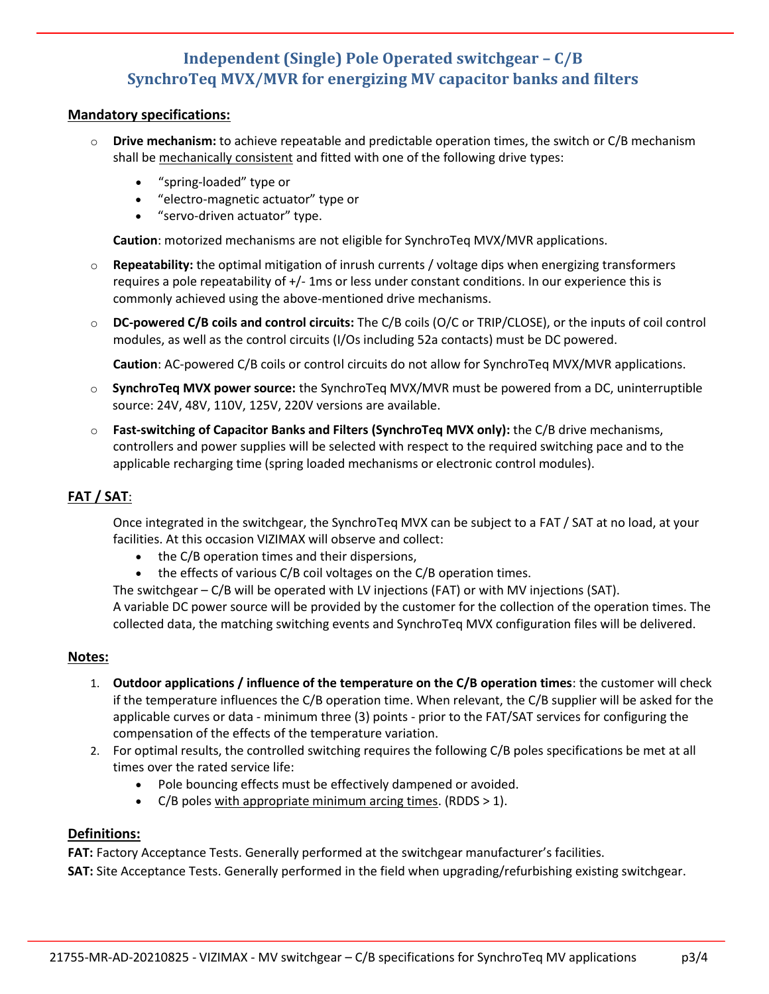# **Independent (Single) Pole Operated switchgear – C/B SynchroTeq MVX/MVR for energizing MV capacitor banks and filters**

### **Mandatory specifications:**

- **Drive mechanism:** to achieve repeatable and predictable operation times, the switch or C/B mechanism shall be mechanically consistent and fitted with one of the following drive types:
	- "spring-loaded" type or
	- "electro-magnetic actuator" type or
	- "servo-driven actuator" type.

**Caution**: motorized mechanisms are not eligible for SynchroTeq MVX/MVR applications.

- o **Repeatability:** the optimal mitigation of inrush currents / voltage dips when energizing transformers requires a pole repeatability of +/- 1ms or less under constant conditions. In our experience this is commonly achieved using the above-mentioned drive mechanisms.
- o **DC-powered C/B coils and control circuits:** The C/B coils (O/C or TRIP/CLOSE), or the inputs of coil control modules, as well as the control circuits (I/Os including 52a contacts) must be DC powered.

**Caution**: AC-powered C/B coils or control circuits do not allow for SynchroTeq MVX/MVR applications.

- o **SynchroTeq MVX power source:** the SynchroTeq MVX/MVR must be powered from a DC, uninterruptible source: 24V, 48V, 110V, 125V, 220V versions are available.
- o **Fast-switching of Capacitor Banks and Filters (SynchroTeq MVX only):** the C/B drive mechanisms, controllers and power supplies will be selected with respect to the required switching pace and to the applicable recharging time (spring loaded mechanisms or electronic control modules).

# **FAT / SAT**:

Once integrated in the switchgear, the SynchroTeq MVX can be subject to a FAT / SAT at no load, at your facilities. At this occasion VIZIMAX will observe and collect:

- the C/B operation times and their dispersions,
- the effects of various C/B coil voltages on the C/B operation times.

The switchgear – C/B will be operated with LV injections (FAT) or with MV injections (SAT). A variable DC power source will be provided by the customer for the collection of the operation times. The collected data, the matching switching events and SynchroTeq MVX configuration files will be delivered.

### **Notes:**

- 1. **Outdoor applications / influence of the temperature on the C/B operation times**: the customer will check if the temperature influences the C/B operation time. When relevant, the C/B supplier will be asked for the applicable curves or data - minimum three (3) points - prior to the FAT/SAT services for configuring the compensation of the effects of the temperature variation.
- 2. For optimal results, the controlled switching requires the following C/B poles specifications be met at all times over the rated service life:
	- Pole bouncing effects must be effectively dampened or avoided.
	- C/B poles with appropriate minimum arcing times. (RDDS > 1).

### **Definitions:**

**FAT:** Factory Acceptance Tests. Generally performed at the switchgear manufacturer's facilities. **SAT:** Site Acceptance Tests. Generally performed in the field when upgrading/refurbishing existing switchgear.